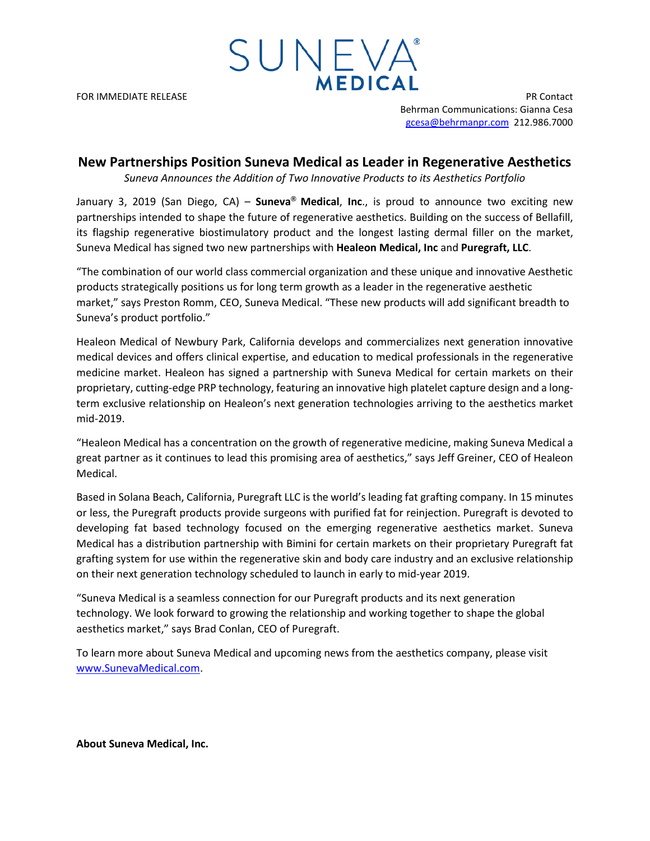FOR IMMEDIATE RELEASE PR Contact Behrman Communications: Gianna Cesa [gcesa@behrmanpr.com](mailto:gcesa@behrmanpr.com) 212.986.7000

## **New Partnerships Position Suneva Medical as Leader in Regenerative Aesthetics**

SUNEVA®

**MEDICAL** 

*Suneva Announces the Addition of Two Innovative Products to its Aesthetics Portfolio*

January 3, 2019 (San Diego, CA) – **Suneva® Medical**, **Inc**., is proud to announce two exciting new partnerships intended to shape the future of regenerative aesthetics. Building on the success of Bellafill, its flagship regenerative biostimulatory product and the longest lasting dermal filler on the market, Suneva Medical has signed two new partnerships with **Healeon Medical, Inc** and **Puregraft, LLC**.

"The combination of our world class commercial organization and these unique and innovative Aesthetic products strategically positions us for long term growth as a leader in the regenerative aesthetic market," says Preston Romm, CEO, Suneva Medical. "These new products will add significant breadth to Suneva's product portfolio."

Healeon Medical of Newbury Park, California develops and commercializes next generation innovative medical devices and offers clinical expertise, and education to medical professionals in the regenerative medicine market. Healeon has signed a partnership with Suneva Medical for certain markets on their proprietary, cutting-edge PRP technology, featuring an innovative high platelet capture design and a longterm exclusive relationship on Healeon's next generation technologies arriving to the aesthetics market mid-2019.

"Healeon Medical has a concentration on the growth of regenerative medicine, making Suneva Medical a great partner as it continues to lead this promising area of aesthetics," says Jeff Greiner, CEO of Healeon Medical.

Based in Solana Beach, California, Puregraft LLC is the world's leading fat grafting company. In 15 minutes or less, the Puregraft products provide surgeons with purified fat for reinjection. Puregraft is devoted to developing fat based technology focused on the emerging regenerative aesthetics market. Suneva Medical has a distribution partnership with Bimini for certain markets on their proprietary Puregraft fat grafting system for use within the regenerative skin and body care industry and an exclusive relationship on their next generation technology scheduled to launch in early to mid-year 2019.

"Suneva Medical is a seamless connection for our Puregraft products and its next generation technology. We look forward to growing the relationship and working together to shape the global aesthetics market," says Brad Conlan, CEO of Puregraft.

To learn more about Suneva Medical and upcoming news from the aesthetics company, please visit [www.SunevaMedical.com.](http://www.sunevamedical.com/)

**About Suneva Medical, Inc.**